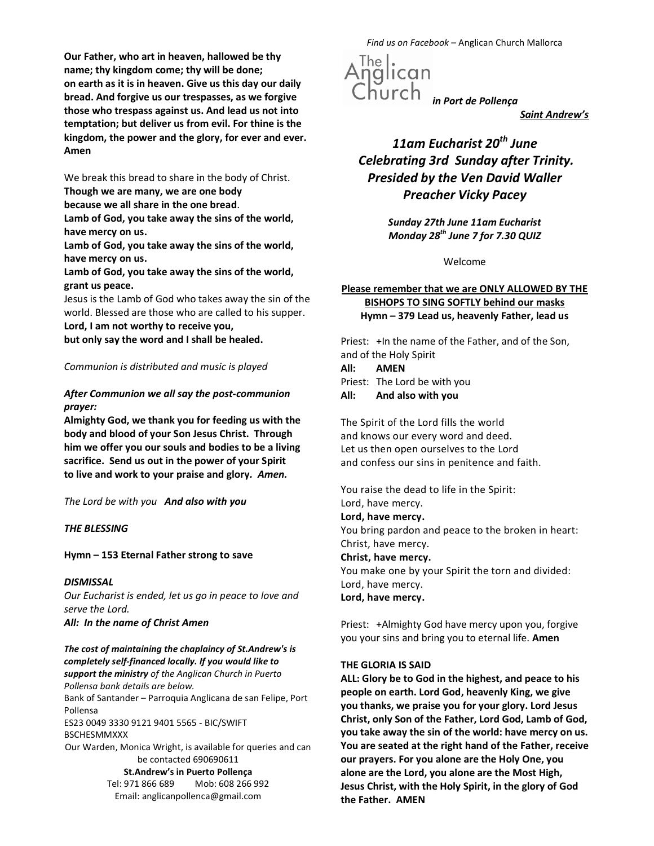Our Father, who art in heaven, hallowed be thy name; thy kingdom come; thy will be done; on earth as it is in heaven. Give us this day our daily bread. And forgive us our trespasses, as we forgive those who trespass against us. And lead us not into temptation; but deliver us from evil. For thine is the kingdom, the power and the glory, for ever and ever. Amen

We break this bread to share in the body of Christ. Though we are many, we are one body

because we all share in the one bread.

Lamb of God, you take away the sins of the world, have mercy on us.

Lamb of God, you take away the sins of the world, have mercy on us.

Lamb of God, you take away the sins of the world, grant us peace.

Jesus is the Lamb of God who takes away the sin of the world. Blessed are those who are called to his supper.

Lord, I am not worthy to receive you, but only say the word and I shall be healed.

## Communion is distributed and music is played

## After Communion we all say the post-communion prayer:

Almighty God, we thank you for feeding us with the body and blood of your Son Jesus Christ. Through him we offer you our souls and bodies to be a living sacrifice. Send us out in the power of your Spirit to live and work to your praise and glory. Amen.

The Lord be with you And also with you

## THE BLESSING

# Hymn – 153 Eternal Father strong to save

# **DISMISSAL**

Our Eucharist is ended, let us go in peace to love and serve the Lord. All: In the name of Christ Amen

The cost of maintaining the chaplaincy of St.Andrew's is completely self-financed locally. If you would like to support the ministry of the Anglican Church in Puerto Pollensa bank details are below. Bank of Santander – Parroquia Anglicana de san Felipe, Port

Pollensa

ES23 0049 3330 9121 9401 5565 - BIC/SWIFT BSCHESMMXXX

Our Warden, Monica Wright, is available for queries and can be contacted 690690611 St.Andrew's in Puerto Pollença Tel: 971 866 689 Mob: 608 266 992 Email: anglicanpollenca@gmail.com

Find us on Facebook – Anglican Church Mallorca



Saint Andrew's

# 11am Eucharist  $20<sup>th</sup>$  June Celebrating 3rd Sunday after Trinity. Presided by the Ven David Waller Preacher Vicky Pacey

Sunday 27th June 11am Eucharist Monday 28<sup>th</sup> June 7 for 7.30 QUIZ

Welcome

# Please remember that we are ONLY ALLOWED BY THE BISHOPS TO SING SOFTLY behind our masks Hymn – 379 Lead us, heavenly Father, lead us

Priest: +In the name of the Father, and of the Son, and of the Holy Spirit All: AMEN

Priest: The Lord be with you All: And also with you

The Spirit of the Lord fills the world and knows our every word and deed. Let us then open ourselves to the Lord and confess our sins in penitence and faith.

You raise the dead to life in the Spirit: Lord, have mercy. Lord, have mercy. You bring pardon and peace to the broken in heart: Christ, have mercy. Christ, have mercy. You make one by your Spirit the torn and divided: Lord, have mercy. Lord, have mercy.

Priest: +Almighty God have mercy upon you, forgive you your sins and bring you to eternal life. Amen

## THE GLORIA IS SAID

ALL: Glory be to God in the highest, and peace to his people on earth. Lord God, heavenly King, we give you thanks, we praise you for your glory. Lord Jesus Christ, only Son of the Father, Lord God, Lamb of God, you take away the sin of the world: have mercy on us. You are seated at the right hand of the Father, receive our prayers. For you alone are the Holy One, you alone are the Lord, you alone are the Most High, Jesus Christ, with the Holy Spirit, in the glory of God the Father. AMEN